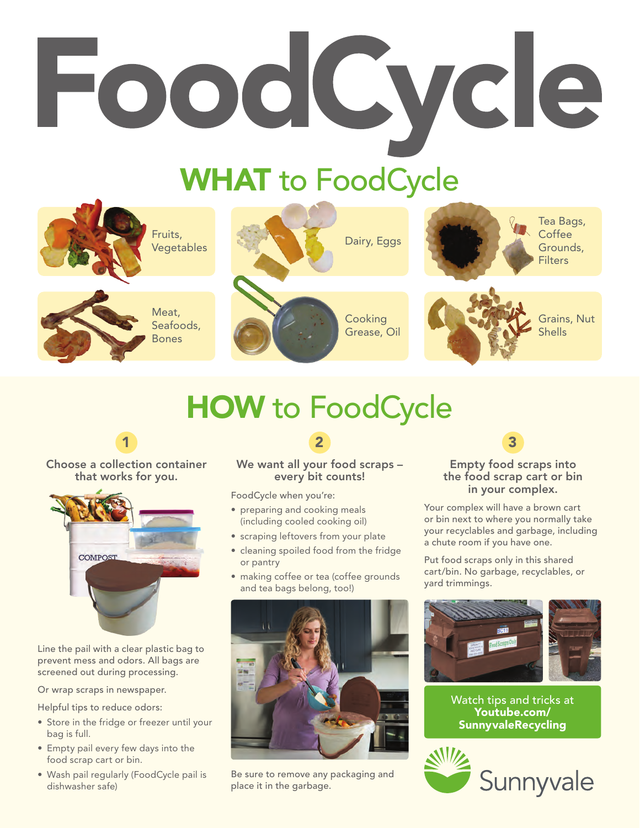# FoodCycle

# WHAT to FoodCycle



# HOW to FoodCycle



#### Choose a collection container that works for you.



Line the pail with a clear plastic bag to prevent mess and odors. All bags are screened out during processing.

Or wrap scraps in newspaper.

Helpful tips to reduce odors:

- Store in the fridge or freezer until your bag is full.
- Empty pail every few days into the food scrap cart or bin.
- Wash pail regularly (FoodCycle pail is dishwasher safe)

#### 2

#### We want all your food scraps – every bit counts!

FoodCycle when you're:

- preparing and cooking meals (including cooled cooking oil)
- scraping leftovers from your plate
- cleaning spoiled food from the fridge or pantry
- making coffee or tea (coffee grounds and tea bags belong, too!)



Be sure to remove any packaging and place it in the garbage.

### 3

#### Empty food scraps into the food scrap cart or bin in your complex.

Your complex will have a brown cart or bin next to where you normally take your recyclables and garbage, including a chute room if you have one.

Put food scraps only in this shared cart/bin. No garbage, recyclables, or yard trimmings.



Watch tips and tricks at Youtube.com/ SunnyvaleRecycling